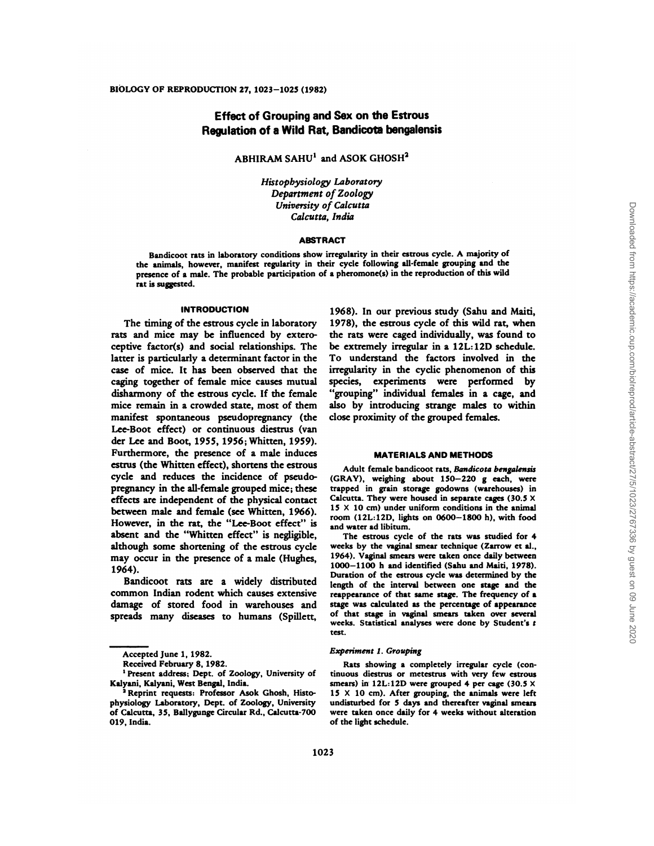# Effect of Grouping and Sex on the Estrous Regulation of a Wild Rat, Bandicota bengalensis

 $ABHIRAM SAHU<sup>1</sup>$  and ASOK GHOSH<sup>2</sup>

*Histophysiology Laboratory* Department of *Zoology University of Calcutta Calcutta, India*

## ABSTRACT

Bandicoot rats in laboratory conditions show irregularity in their estrous cycle. A majority of the animals, however, manifest regularity in their cycle following all-female grouping and the presence of a male. The probable participation of a pheromone(s) in the reproduction of this wild rat is suggested.

#### **INTRODUCTION**

The timing of the estrous cycle in laboratory rats and mice may be influenced by extero ceptive factor(s) and social relationships. The latter is particularly a determinant factor in the case of mice. It has been observed that the caging together of female mice causes mutual disharmony of the estrous cycle. If the female mice remain in a crowded state, most of them manifest spontaneous pseudopregnancy (the Lee-Boot effect) or continuous diestrus (van der Lee and Boot, 1955, 1956; Whitten, 1959). Furthermore, the presence of a male induces estrus (the Whitten effect), shortens the estrous cycle and reduces the incidence of pseudopregnancy in the all-female grouped mice; these effects are independent of the physical contact between male and female (see Whitten, 1966). However, in the rat, the "Lee-Boot effect" is absent and the "Whitten effect" is negligible, although some shortening of the estrous cycle may occur in the presence of a male (Hughes, 1964).

Bandicoot rats are a widely distributed common Indian rodent which causes extensive damage of stored food in warehouses and spreads many diseases to humans (Spillett, 1968). In our previous study (Sahu and Maiti, 1978), the estrous cycle of this wild rat, when the rats were caged individually, was found to be extremely irregular in a 12L:12D schedule. To understand the factors involved in the irregularity in the cyclic phenomenon of this species, experiments were performed by "grouping" individual females in a cage, and also by introducing strange males to within close proximity of the grouped females.

#### **MATERIALS AND METHODS**

Adult female bandicoot rats, Bandicota bengalensis (GRAY), weighing about 150-220 g each, were trapped in grain storage godowns (warehouses) in Calcutta. They were housed in separate cages (30.5 X 15 X 10 cm) under uniform conditions in the animal room (12L:12D, lights on 0600-1800 h), with food and water ad libitum.

The estrous cycle of the rats was studied for 4 weeks by the vaginal smear technique (Zarrow et al., 1964). Vaginal smears were taken once daily between 1000-1100 h and identified (Sahu and Maiti, 1978). Duration of the estrous cycle was determined by the length of the interval between one stage and the reappearance of that same stage. The frequency of a stage was calculated as the percentage of appearance of that stage in vaginal smears taken over several weeks. Statistical analyses were done by Student's **t** test.

### *Experiment 1. Grouping*

Rats showing a completely irregular cycle (continuous diestrus or metestrus with very few estrous smears) in 12L:12D were grouped 4 per cage (30.5 **X**  $15 \times 10$  cm). After grouping, the animals were left undisturbed for 5 days and thereafter vaginal smears were taken once daily for 4 weeks without alteration of the light schedule.

Accepted June 1,1982.

Received February 8, 1982.

<sup>&#</sup>x27;Present address; Dept. of Zoology, University of Kalyani, Kalyani. West Bengal, India.

Reprint requests: Professor Asok Ghosh, Histophysiology Laboratory, Dept. of Zoology, University of Calcutta, 35, Ballygunge Circular Rd., Calcutta-700 019, India.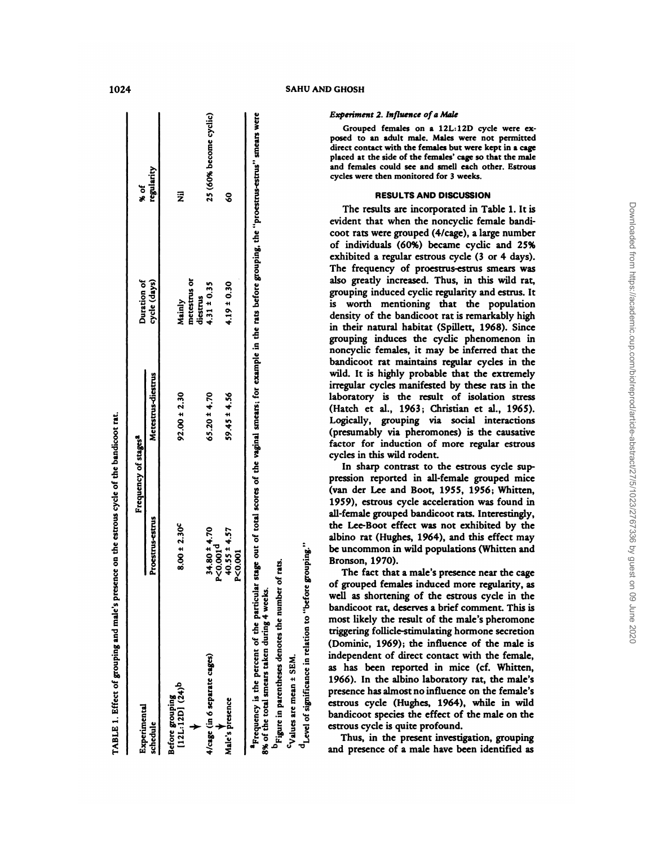| Experimental                                                                                                                                                                                                                                                                                                                                                                                                                                                                                                                                                                                                                                                                                                                                                                                                                                                                                                                                            |                                                                                                                                                                                                                                                                                                                                                                                                | Frequency of stages <sup>a</sup>                                                                                                                                                                                                                                                                                                                                                                                                                                                                                                                                                                                                                                                                                                                                                                                     | Duration of                                                                                                                                                                                                                                                                                                                                                                                                                                                                                                                                               | $*$ of                                                                                                                                                                                                                                                                                                                                                                                                                                                  |
|---------------------------------------------------------------------------------------------------------------------------------------------------------------------------------------------------------------------------------------------------------------------------------------------------------------------------------------------------------------------------------------------------------------------------------------------------------------------------------------------------------------------------------------------------------------------------------------------------------------------------------------------------------------------------------------------------------------------------------------------------------------------------------------------------------------------------------------------------------------------------------------------------------------------------------------------------------|------------------------------------------------------------------------------------------------------------------------------------------------------------------------------------------------------------------------------------------------------------------------------------------------------------------------------------------------------------------------------------------------|----------------------------------------------------------------------------------------------------------------------------------------------------------------------------------------------------------------------------------------------------------------------------------------------------------------------------------------------------------------------------------------------------------------------------------------------------------------------------------------------------------------------------------------------------------------------------------------------------------------------------------------------------------------------------------------------------------------------------------------------------------------------------------------------------------------------|-----------------------------------------------------------------------------------------------------------------------------------------------------------------------------------------------------------------------------------------------------------------------------------------------------------------------------------------------------------------------------------------------------------------------------------------------------------------------------------------------------------------------------------------------------------|---------------------------------------------------------------------------------------------------------------------------------------------------------------------------------------------------------------------------------------------------------------------------------------------------------------------------------------------------------------------------------------------------------------------------------------------------------|
| schedule                                                                                                                                                                                                                                                                                                                                                                                                                                                                                                                                                                                                                                                                                                                                                                                                                                                                                                                                                | Proestrus-estrus                                                                                                                                                                                                                                                                                                                                                                               | Metestrus-diestrus                                                                                                                                                                                                                                                                                                                                                                                                                                                                                                                                                                                                                                                                                                                                                                                                   | cycle (days)                                                                                                                                                                                                                                                                                                                                                                                                                                                                                                                                              | regularity                                                                                                                                                                                                                                                                                                                                                                                                                                              |
| Before grouping<br>[12L:12D] (24)b                                                                                                                                                                                                                                                                                                                                                                                                                                                                                                                                                                                                                                                                                                                                                                                                                                                                                                                      | $8.00 \pm 2.30$                                                                                                                                                                                                                                                                                                                                                                                | $92.00 \pm 2.30$                                                                                                                                                                                                                                                                                                                                                                                                                                                                                                                                                                                                                                                                                                                                                                                                     | metestrus or<br>diestrus<br>Mainly                                                                                                                                                                                                                                                                                                                                                                                                                                                                                                                        | $\overline{\overline{z}}$                                                                                                                                                                                                                                                                                                                                                                                                                               |
| (in 6 separate cages)<br>4/cage (                                                                                                                                                                                                                                                                                                                                                                                                                                                                                                                                                                                                                                                                                                                                                                                                                                                                                                                       | $34.80 \pm 4.70$<br>P<0.001 <sup>d</sup>                                                                                                                                                                                                                                                                                                                                                       | $65.20 \pm 4.70$                                                                                                                                                                                                                                                                                                                                                                                                                                                                                                                                                                                                                                                                                                                                                                                                     | $4.31 \pm 0.35$                                                                                                                                                                                                                                                                                                                                                                                                                                                                                                                                           | 25 (60% become cyclic)                                                                                                                                                                                                                                                                                                                                                                                                                                  |
| Male's presence                                                                                                                                                                                                                                                                                                                                                                                                                                                                                                                                                                                                                                                                                                                                                                                                                                                                                                                                         | 4.57<br>$40.55 \pm$<br>P<0.001                                                                                                                                                                                                                                                                                                                                                                 | $59.45 \pm 4.56$                                                                                                                                                                                                                                                                                                                                                                                                                                                                                                                                                                                                                                                                                                                                                                                                     | $4.19 \pm 0.30$                                                                                                                                                                                                                                                                                                                                                                                                                                                                                                                                           | $\boldsymbol{S}$                                                                                                                                                                                                                                                                                                                                                                                                                                        |
| $d_{\text{Level of significance in relation to "before grouping."}$<br>a Frequency is the percent of the particular<br>4 weeks.<br>bandicoot rat, deserves a brief comment. This is<br>most likely the result of the male's pheromone<br>ĕ<br>during<br>triggering follicle-stimulating hormone secretion<br>otes<br>(Dominic, 1969); the influence of the male is<br>8% of the total smears taken<br>۹ë<br>independent of direct contact with the female,<br>SEM.<br>parentheses<br>as has been reported in mice (cf. Whitten,<br>$\ddot{}$<br>1966). In the albino laboratory rat, the male's<br><sup>c</sup> Values are mean<br>presence has almost no influence on the female's<br>estrous cycle (Hughes, 1964), while in wild<br><sup>b</sup> Figure in 1<br>bandicoot species the effect of the male on the<br>estrous cycle is quite profound.<br>Thus, in the present investigation, grouping<br>and presence of a male have been identified as | all-female grouped bandicoot rats. Interestingly,<br>the Lee-Boot effect was not exhibited by the<br>albino rat (Hughes, 1964), and this effect may<br>be uncommon in wild populations (Whitten and<br>Bronson, 1970).<br>number of rats.<br>The fact that a male's presence near the cage<br>of grouped females induced more regularity, as<br>well as shortening of the estrous cycle in the | stage out of total scores of the vaginal smears; for example in the rats before grouping, the "proestrus-estrus" smears were<br>noncyclic females, it may be inferred that the<br>bandicoot rat maintains regular cycles in the<br>wild. It is highly probable that the extremely<br>irregular cycles manifested by these rats in the<br>laboratory is the result of isolation stress<br>(Hatch et al., 1963; Christian et al., 1965).<br>Logically, grouping via social interactions<br>(presumably via pheromones) is the causative<br>factor for induction of more regular estrous<br>cycles in this wild rodent.<br>In sharp contrast to the estrous cycle sup-<br>pression reported in all-female grouped mice<br>(van der Lee and Boot, 1955, 1956; Whitten,<br>1959), estrous cycle acceleration was found in | evident that when the noncyclic female bandi-<br>coot rats were grouped (4/cage), a large number<br>of individuals (60%) became cyclic and 25%<br>exhibited a regular estrous cycle (3 or 4 days).<br>The frequency of proestrus-estrus smears was<br>also greatly increased. Thus, in this wild rat,<br>grouping induced cyclic regularity and estrus. It<br>is worth mentioning that the population<br>density of the bandicoot rat is remarkably high<br>in their natural habitat (Spillett, 1968). Since<br>grouping induces the cyclic phenomenon in | <b>Experiment 2. Influence of a Male</b><br>Grouped females on a 12L:12D cycle were ex-<br>posed to an adult male. Males were not permitted<br>direct contact with the females but were kept in a cage<br>placed at the side of the females' cage so that the male<br>and females could see and smell each other. Estrous<br>cycles were then monitored for 3 weeks.<br><b>RESULTS AND DISCUSSION</b><br>The results are incorporated in Table 1. It is |
|                                                                                                                                                                                                                                                                                                                                                                                                                                                                                                                                                                                                                                                                                                                                                                                                                                                                                                                                                         |                                                                                                                                                                                                                                                                                                                                                                                                |                                                                                                                                                                                                                                                                                                                                                                                                                                                                                                                                                                                                                                                                                                                                                                                                                      |                                                                                                                                                                                                                                                                                                                                                                                                                                                                                                                                                           |                                                                                                                                                                                                                                                                                                                                                                                                                                                         |
| on 09 June<br>2020                                                                                                                                                                                                                                                                                                                                                                                                                                                                                                                                                                                                                                                                                                                                                                                                                                                                                                                                      |                                                                                                                                                                                                                                                                                                                                                                                                | Downloaded from https://academic.oup.com/biolreprod/article-abstract/2/7/3/1/023/2/67/35 by guest                                                                                                                                                                                                                                                                                                                                                                                                                                                                                                                                                                                                                                                                                                                    |                                                                                                                                                                                                                                                                                                                                                                                                                                                                                                                                                           |                                                                                                                                                                                                                                                                                                                                                                                                                                                         |

1024 SAHU AND GHOSH

#### *Experiment 2. Influence of a Male*

# **RESULTS AND DISCUSSION**